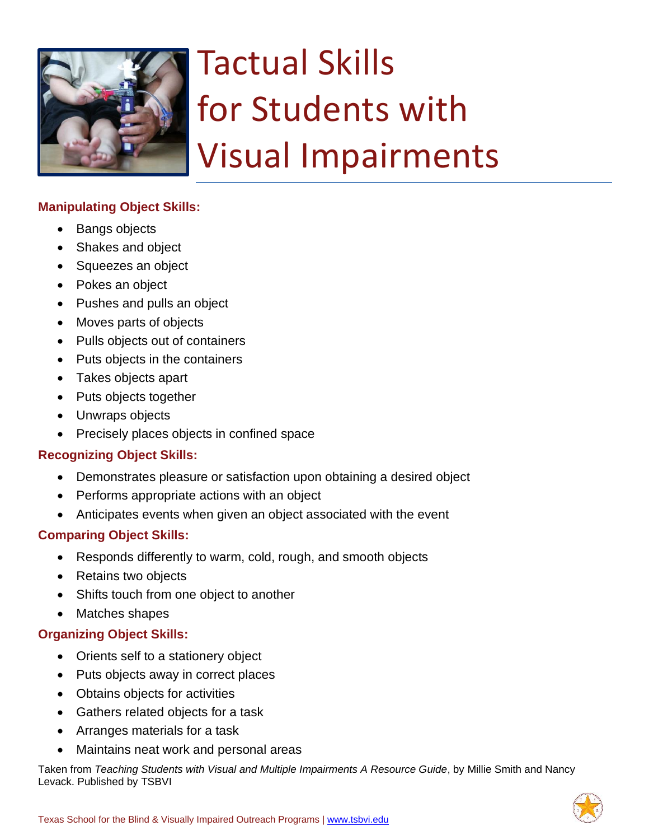

# Tactual Skills for Students with Visual Impairments

# **Manipulating Object Skills:**

- Bangs objects
- Shakes and object
- Squeezes an object
- Pokes an object
- Pushes and pulls an object
- Moves parts of objects
- Pulls objects out of containers
- Puts objects in the containers
- Takes objects apart
- Puts objects together
- Unwraps objects
- Precisely places objects in confined space

#### **Recognizing Object Skills:**

- Demonstrates pleasure or satisfaction upon obtaining a desired object
- Performs appropriate actions with an object
- Anticipates events when given an object associated with the event

### **Comparing Object Skills:**

- Responds differently to warm, cold, rough, and smooth objects
- Retains two objects
- Shifts touch from one object to another
- Matches shapes

### **Organizing Object Skills:**

- Orients self to a stationery object
- Puts objects away in correct places
- Obtains objects for activities
- Gathers related objects for a task
- Arranges materials for a task
- Maintains neat work and personal areas

Taken from *Teaching Students with Visual and Multiple Impairments A Resource Guide*, by Millie Smith and Nancy Levack. Published by TSBVI